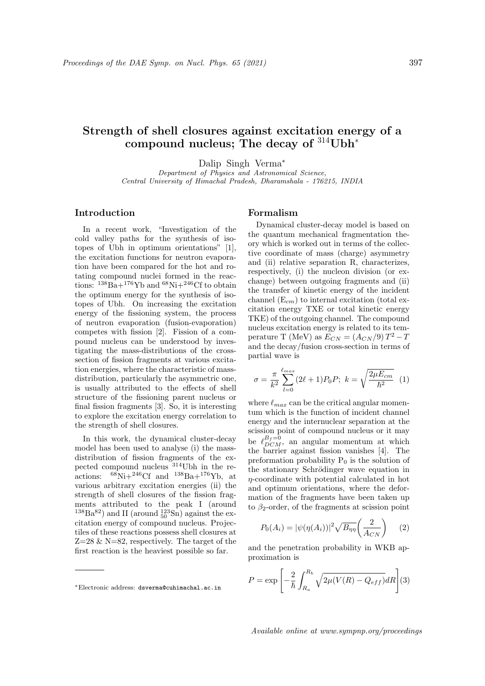# Strength of shell closures against excitation energy of a compound nucleus; The decay of  $314$ Ubh<sup>\*</sup>

Dalip Singh Verma<sup>∗</sup>

Department of Physics and Astronomical Science, Central University of Himachal Pradesh, Dharamshala - 176215, INDIA

# Introduction

In a recent work, "Investigation of the cold valley paths for the synthesis of isotopes of Ubh in optimum orientations" [1], the excitation functions for neutron evaporation have been compared for the hot and rotating compound nuclei formed in the reactions:  $138\text{Ba} + 176\text{Yb}$  and  $68\text{Ni} + 246\text{Cf}$  to obtain the optimum energy for the synthesis of isotopes of Ubh. On increasing the excitation energy of the fissioning system, the process of neutron evaporation (fusion-evaporation) competes with fission [2]. Fission of a compound nucleus can be understood by investigating the mass-distributions of the crosssection of fission fragments at various excitation energies, where the characteristic of massdistribution, particularly the asymmetric one, is usually attributed to the effects of shell structure of the fissioning parent nucleus or final fission fragments [3]. So, it is interesting to explore the excitation energy correlation to the strength of shell closures.

In this work, the dynamical cluster-decay model has been used to analyse (i) the massdistribution of fission fragments of the expected compound nucleus <sup>314</sup>Ubh in the reactions:  ${}^{68}\text{Ni}+{}^{246}\text{Cf}$  and  ${}^{138}\text{Ba}+{}^{176}\text{Yb}$ , at various arbitrary excitation energies (ii) the strength of shell closures of the fission fragments attributed to the peak I (around  $^{138}\text{Ba}^{82}$ ) and II (around  $^{123}_{50}\text{Sn}$ ) against the excitation energy of compound nucleus. Projectiles of these reactions possess shell closures at  $Z=28 \& N=82$ , respectively. The target of the first reaction is the heaviest possible so far.

### Formalism

Dynamical cluster-decay model is based on the quantum mechanical fragmentation theory which is worked out in terms of the collective coordinate of mass (charge) asymmetry and (ii) relative separation R, characterizes, respectively, (i) the nucleon division (or exchange) between outgoing fragments and (ii) the transfer of kinetic energy of the incident channel  $(E_{cm})$  to internal excitation (total excitation energy TXE or total kinetic energy TKE) of the outgoing channel. The compound nucleus excitation energy is related to its temperature T (MeV) as  $E_{CN} = (A_{CN}/9) T^2 - T$ and the decay/fusion cross-section in terms of partial wave is

$$
\sigma = \frac{\pi}{k^2} \sum_{l=0}^{\ell_{max}} (2\ell + 1) P_0 P; \ k = \sqrt{\frac{2\mu E_{cm}}{\hbar^2}} \ (1)
$$

where  $\ell_{max}$  can be the critical angular momentum which is the function of incident channel energy and the internuclear separation at the scission point of compound nucleus or it may be  $\ell_{DCM}^{B_f=0}$ , an angular momentum at which the barrier against fission vanishes [4]. The preformation probability  $P_0$  is the solution of the stationary Schrödinger wave equation in  $\eta$ -coordinate with potential calculated in hot and optimum orientations, where the deformation of the fragments have been taken up to  $\beta_2$ -order, of the fragments at scission point

$$
P_0(A_i) = |\psi(\eta(A_i))|^2 \sqrt{B_{\eta\eta}} \left(\frac{2}{A_{CN}}\right) \qquad (2)
$$

and the penetration probability in WKB approximation is

$$
P = \exp\left[-\frac{2}{\hbar} \int_{R_a}^{R_b} \sqrt{2\mu(V(R) - Q_{eff})} dR\right](3)
$$

<sup>∗</sup>Electronic address: dsverma@cuhimachal.ac.in